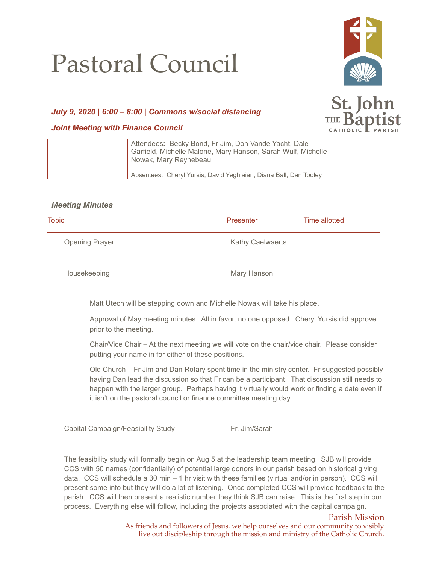## Pastoral Council



St. John

## *July 9, 2020 | 6:00 – 8:00 | Commons w/social distancing*

## *Joint Meeting with Finance Council*

Attendees**:** Becky Bond, Fr Jim, Don Vande Yacht, Dale Garfield, Michelle Malone, Mary Hanson, Sarah Wulf, Michelle Nowak, Mary Reynebeau

Absentees: Cheryl Yursis, David Yeghiaian, Diana Ball, Dan Tooley

## *Meeting Minutes*

| Presenter               | Time allotted |
|-------------------------|---------------|
| <b>Kathy Caelwaerts</b> |               |
|                         |               |

Housekeeping Mary Hanson

Matt Utech will be stepping down and Michelle Nowak will take his place.

Approval of May meeting minutes. All in favor, no one opposed. Cheryl Yursis did approve prior to the meeting.

Chair/Vice Chair – At the next meeting we will vote on the chair/vice chair. Please consider putting your name in for either of these positions.

Old Church – Fr Jim and Dan Rotary spent time in the ministry center. Fr suggested possibly having Dan lead the discussion so that Fr can be a participant. That discussion still needs to happen with the larger group. Perhaps having it virtually would work or finding a date even if it isn't on the pastoral council or finance committee meeting day.

Capital Campaign/Feasibility Study Fr. Jim/Sarah

The feasibility study will formally begin on Aug 5 at the leadership team meeting. SJB will provide CCS with 50 names (confidentially) of potential large donors in our parish based on historical giving data. CCS will schedule a 30 min – 1 hr visit with these families (virtual and/or in person). CCS will present some info but they will do a lot of listening. Once completed CCS will provide feedback to the parish. CCS will then present a realistic number they think SJB can raise. This is the first step in our process. Everything else will follow, including the projects associated with the capital campaign.

> Parish Mission As friends and followers of Jesus, we help ourselves and our community to visibly live out discipleship through the mission and ministry of the Catholic Church.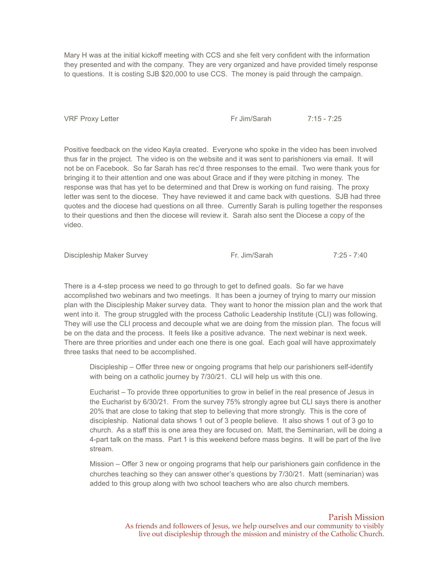Mary H was at the initial kickoff meeting with CCS and she felt very confident with the information they presented and with the company. They are very organized and have provided timely response to questions. It is costing SJB \$20,000 to use CCS. The money is paid through the campaign.

VRF Proxy Letter Fr Jim/Sarah 7:15 - 7:25

Positive feedback on the video Kayla created. Everyone who spoke in the video has been involved thus far in the project. The video is on the website and it was sent to parishioners via email. It will not be on Facebook. So far Sarah has rec'd three responses to the email. Two were thank yous for bringing it to their attention and one was about Grace and if they were pitching in money. The response was that has yet to be determined and that Drew is working on fund raising. The proxy letter was sent to the diocese. They have reviewed it and came back with questions. SJB had three quotes and the diocese had questions on all three. Currently Sarah is pulling together the responses to their questions and then the diocese will review it. Sarah also sent the Diocese a copy of the video.

Discipleship Maker Survey **Fr. Jim/Sarah** Fr. Jim/Sarah 7:25 - 7:40

There is a 4-step process we need to go through to get to defined goals. So far we have accomplished two webinars and two meetings. It has been a journey of trying to marry our mission plan with the Discipleship Maker survey data. They want to honor the mission plan and the work that went into it. The group struggled with the process Catholic Leadership Institute (CLI) was following. They will use the CLI process and decouple what we are doing from the mission plan. The focus will be on the data and the process. It feels like a positive advance. The next webinar is next week. There are three priorities and under each one there is one goal. Each goal will have approximately three tasks that need to be accomplished.

Discipleship – Offer three new or ongoing programs that help our parishioners self-identify with being on a catholic journey by 7/30/21. CLI will help us with this one.

Eucharist – To provide three opportunities to grow in belief in the real presence of Jesus in the Eucharist by 6/30/21. From the survey 75% strongly agree but CLI says there is another 20% that are close to taking that step to believing that more strongly. This is the core of discipleship. National data shows 1 out of 3 people believe. It also shows 1 out of 3 go to church. As a staff this is one area they are focused on. Matt, the Seminarian, will be doing a 4-part talk on the mass. Part 1 is this weekend before mass begins. It will be part of the live stream.

Mission – Offer 3 new or ongoing programs that help our parishioners gain confidence in the churches teaching so they can answer other's questions by 7/30/21. Matt (seminarian) was added to this group along with two school teachers who are also church members.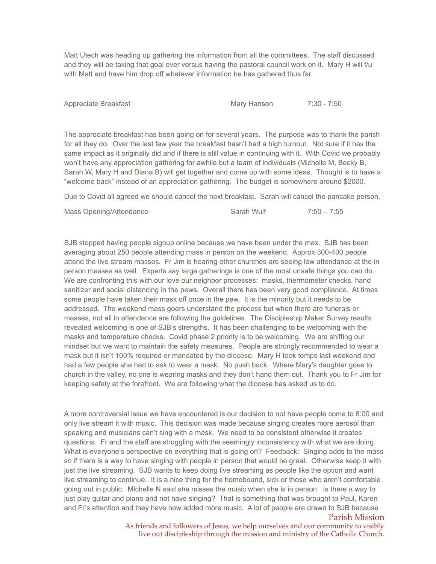Matt Utech was heading up gathering the information from all the committees. The staff discussed and they will be taking that goal over versus having the pastoral council work on it. Mary H will f/u with Matt and have him drop off whatever information he has gathered thus far.

Appreciate Breakfast Mary Hanson 7:30 - 7:50

The appreciate breakfast has been going on for several years. The purpose was to thank the parish for all they do. Over the last few year the breakfast hasn't had a high turnout. Not sure if it has the same impact as it originally did and if there is still value in continuing with it. With Covid we probably won't have any appreciation gathering for awhile but a team of individuals (Michelle M, Becky B, Sarah W, Mary H and Diana B) will get together and come up with some ideas. Thought is to have a "welcome back" instead of an appreciation gathering. The budget is somewhere around \$2000.

Due to Covid all agreed we should cancel the next breakfast. Sarah will cancel the pancake person.

| Mass Opening/Attendance | Sarah Wulf | $7:50 - 7:55$ |
|-------------------------|------------|---------------|
|-------------------------|------------|---------------|

SJB stopped having people signup online because we have been under the max. SJB has been averaging about 250 people attending mass in person on the weekend. Approx 300-400 people attend the live stream masses. Fr Jim is hearing other churches are seeing low attendance at the in person masses as well. Experts say large gatherings is one of the most unsafe things you can do. We are confronting this with our love our neighbor processes: masks, thermometer checks, hand sanitizer and social distancing in the pews. Overall there has been very good compliance. At times some people have taken their mask off once in the pew. It is the minority but it needs to be addressed. The weekend mass goers understand the process but when there are funerals or masses, not all in attendance are following the guidelines. The Discipleship Maker Survey results revealed welcoming is one of SJB's strengths. It has been challenging to be welcoming with the masks and temperature checks. Covid phase 2 priority is to be welcoming. We are shifting our mindset but we want to maintain the safety measures. People are strongly recommended to wear a mask but it isn't 100% required or mandated by the diocese. Mary H took temps last weekend and had a few people she had to ask to wear a mask. No push back. Where Mary's daughter goes to church in the valley, no one is wearing masks and they don't hand them out. Thank you to Fr Jim for keeping safety at the forefront. We are following what the diocese has asked us to do.

A more controversial issue we have encountered is our decision to not have people come to 8:00 and only live stream it with music. This decision was made because singing creates more aerosol than speaking and musicians can't sing with a mask. We need to be consistent otherwise it creates questions. Fr and the staff are struggling with the seemingly inconsistency with what we are doing. What is everyone's perspective on everything that is going on? Feedback: Singing adds to the mass so if there is a way to have singing with people in person that would be great. Otherwise keep it with just the live streaming. SJB wants to keep doing live streaming as people like the option and want live streaming to continue. It is a nice thing for the homebound, sick or those who aren't comfortable going out in public. Michelle N said she misses the music when she is in person. Is there a way to just play guitar and piano and not have singing? That is something that was brought to Paul, Karen and Fr's attention and they have now added more music. A lot of people are drawn to SJB because

Parish Mission

As friends and followers of Jesus, we help ourselves and our community to visibly live out discipleship through the mission and ministry of the Catholic Church.